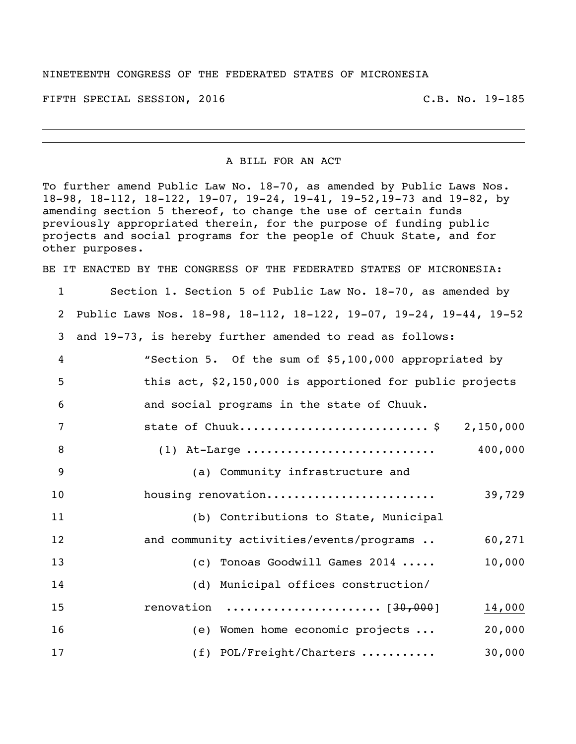## NINETEENTH CONGRESS OF THE FEDERATED STATES OF MICRONESIA

FIFTH SPECIAL SESSION, 2016 C.B. No. 19-185

A BILL FOR AN ACT

To further amend Public Law No. 18-70, as amended by Public Laws Nos. 18-98, 18-112, 18-122, 19-07, 19-24, 19-41, 19-52,19-73 and 19-82, by amending section 5 thereof, to change the use of certain funds previously appropriated therein, for the purpose of funding public projects and social programs for the people of Chuuk State, and for other purposes.

BE IT ENACTED BY THE CONGRESS OF THE FEDERATED STATES OF MICRONESIA:

 Section 1. Section 5 of Public Law No. 18-70, as amended by Public Laws Nos. 18-98, 18-112, 18-122, 19-07, 19-24, 19-44, 19-52 and 19-73, is hereby further amended to read as follows: "Section 5. Of the sum of \$5,100,000 appropriated by this act, \$2,150,000 is apportioned for public projects and social programs in the state of Chuuk. 7 state of Chuuk...............................\$ 2,150,000 (1) At-Large ............................ 400,000 (a) Community infrastructure and housing renovation......................... 39,729 (b) Contributions to State, Municipal 12 and community activities/events/programs .. 60,271 (c) Tonoas Goodwill Games 2014 ..... 10,000 (d) Municipal offices construction/ renovation ....................... [30,000] 14,000 (e) Women home economic projects ... 20,000 17 (f) POL/Freight/Charters ........... 30,000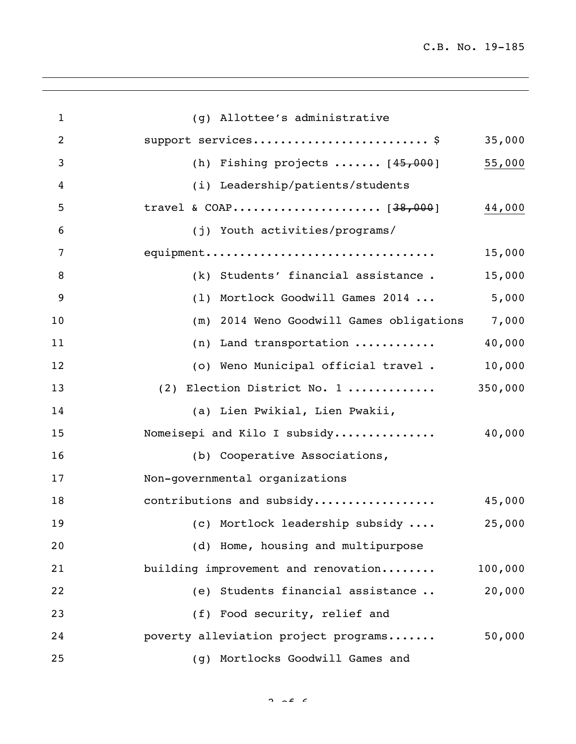J.

| $\mathbf{1}$ | (g) Allottee's administrative            |         |
|--------------|------------------------------------------|---------|
| 2            | support services\$                       | 35,000  |
| 3            | (h) Fishing projects $[45,000]$          | 55,000  |
| 4            | (i) Leadership/patients/students         |         |
| 5            |                                          | 44,000  |
| 6            | (j) Youth activities/programs/           |         |
| 7            | equipment                                | 15,000  |
| 8            | (k) Students' financial assistance.      | 15,000  |
| 9            | (1) Mortlock Goodwill Games 2014         | 5,000   |
| 10           | (m) 2014 Weno Goodwill Games obligations | 7,000   |
| 11           | (n) Land transportation                  | 40,000  |
| 12           | (o) Weno Municipal official travel.      | 10,000  |
| 13           | (2) Election District No. 1              | 350,000 |
| 14           | (a) Lien Pwikial, Lien Pwakii,           |         |
| 15           | Nomeisepi and Kilo I subsidy             | 40,000  |
| 16           | (b) Cooperative Associations,            |         |
| 17           | Non-governmental organizations           |         |
| 18           | contributions and subsidy                | 45,000  |
| 19           | (c) Mortlock leadership subsidy          | 25,000  |
| 20           | (d) Home, housing and multipurpose       |         |
| 21           | building improvement and renovation      | 100,000 |
| 22           | (e) Students financial assistance        | 20,000  |
| 23           | (f) Food security, relief and            |         |
| 24           | poverty alleviation project programs     | 50,000  |
| 25           | (g) Mortlocks Goodwill Games and         |         |

 $2 \times 2 \times 6$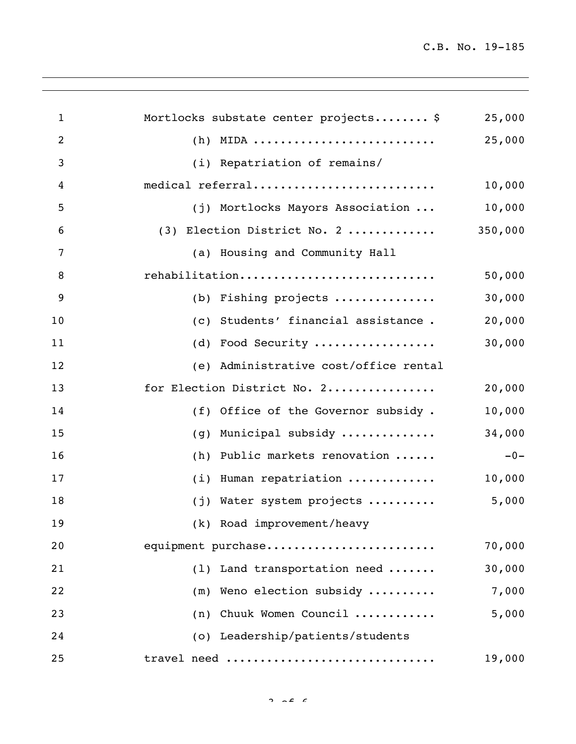J.

| $\mathbf{1}$   | Mortlocks substate center projects \$ | 25,000  |
|----------------|---------------------------------------|---------|
| $\overline{2}$ | $(h)$ MIDA                            | 25,000  |
| 3              | (i) Repatriation of remains/          |         |
| 4              | medical referral                      | 10,000  |
| 5              | (j) Mortlocks Mayors Association      | 10,000  |
| 6              | (3) Election District No. 2           | 350,000 |
| 7              | (a) Housing and Community Hall        |         |
| 8              | rehabilitation                        | 50,000  |
| 9              | (b) Fishing projects                  | 30,000  |
| 10             | (c) Students' financial assistance.   | 20,000  |
| 11             | (d) Food Security                     | 30,000  |
| 12             | (e) Administrative cost/office rental |         |
| 13             | for Election District No. 2           | 20,000  |
| 14             | (f) Office of the Governor subsidy.   | 10,000  |
| 15             | Municipal subsidy<br>(q)              | 34,000  |
| 16             | Public markets renovation<br>(h)      | $-0-$   |
| 17             | (i) Human repatriation                | 10,000  |
| 18             | (j) Water system projects             | 5,000   |
| 19             | (k) Road improvement/heavy            |         |
| 20             | equipment purchase                    | 70,000  |
| 21             | (1) Land transportation need          | 30,000  |
| 22             | Weno election subsidy<br>(m)          | 7,000   |
| 23             | (n) Chuuk Women Council               | 5,000   |
| 24             | (o) Leadership/patients/students      |         |
| 25             | travel need                           | 19,000  |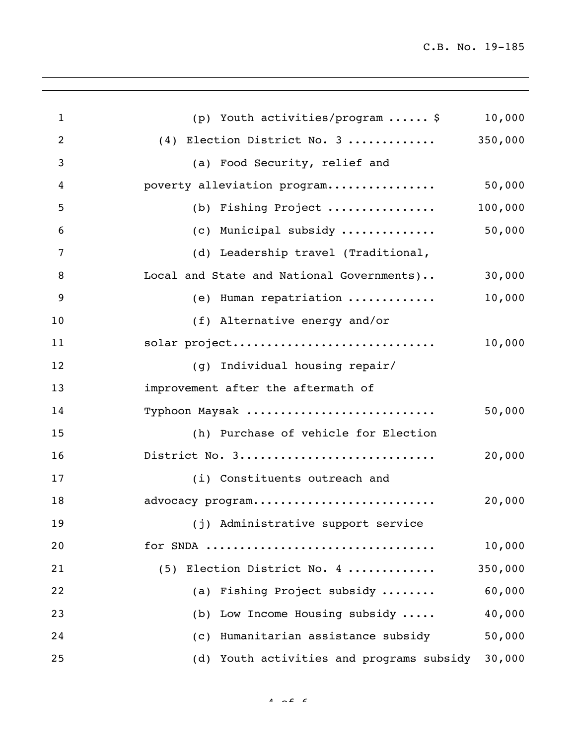J.

| $\mathbf{1}$   | (p) Youth activities/program  \$          | 10,000  |
|----------------|-------------------------------------------|---------|
| $\overline{2}$ | $(4)$ Election District No. 3  350,000    |         |
| 3              | (a) Food Security, relief and             |         |
| 4              | poverty alleviation program               | 50,000  |
| 5              | (b) Fishing Project                       | 100,000 |
| 6              | (c) Municipal subsidy                     | 50,000  |
| 7              | (d) Leadership travel (Traditional,       |         |
| 8              | Local and State and National Governments) | 30,000  |
| 9              | (e) Human repatriation                    | 10,000  |
| 10             | (f) Alternative energy and/or             |         |
| 11             | solar project                             | 10,000  |
| 12             | (g) Individual housing repair/            |         |
| 13             | improvement after the aftermath of        |         |
| 14             | Typhoon Maysak                            | 50,000  |
| 15             | (h) Purchase of vehicle for Election      |         |
| 16             | District No. 3                            | 20,000  |
| 17             | (i) Constituents outreach and             |         |
| 18             | advocacy program                          | 20,000  |
| 19             | (j) Administrative support service        |         |
| 20             | for SNDA                                  | 10,000  |
| 21             | (5) Election District No. 4               | 350,000 |
| 22             | (a) Fishing Project subsidy               | 60,000  |
| 23             | (b) Low Income Housing subsidy            | 40,000  |
| 24             | (c) Humanitarian assistance subsidy       | 50,000  |
| 25             | (d) Youth activities and programs subsidy | 30,000  |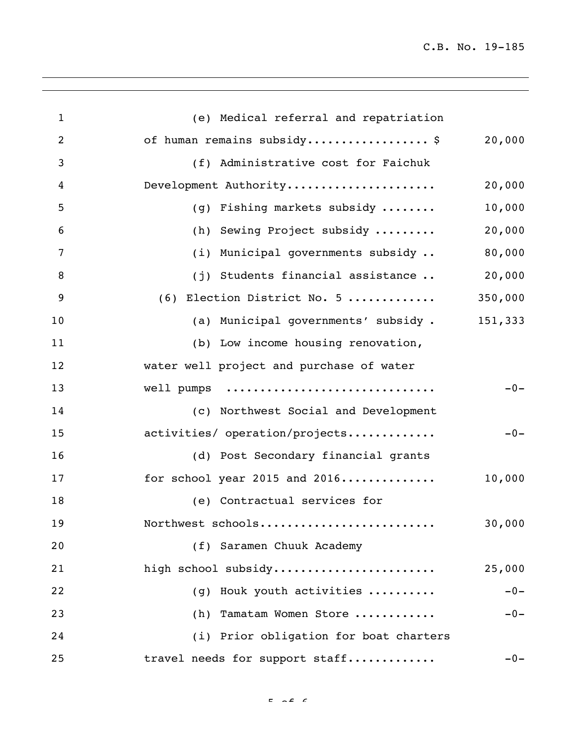C.B. No. 19-185

| $\mathbf{1}$   | (e) Medical referral and repatriation          |
|----------------|------------------------------------------------|
| $\overline{2}$ | of human remains subsidy \$<br>20,000          |
| 3              | (f) Administrative cost for Faichuk            |
| 4              | Development Authority<br>20,000                |
| 5              | 10,000<br>(g) Fishing markets subsidy          |
| 6              | (h) Sewing Project subsidy<br>20,000           |
| 7              | (i) Municipal governments subsidy<br>80,000    |
| 8              | (j) Students financial assistance<br>20,000    |
| 9              | $(6)$ Election District No. 5<br>350,000       |
| 10             | (a) Municipal governments' subsidy.<br>151,333 |
| 11             | (b) Low income housing renovation,             |
| 12             | water well project and purchase of water       |
| 13             | $-0-$<br>well pumps                            |
| 14             | (c) Northwest Social and Development           |
| 15             | activities/ operation/projects<br>$-0-$        |
| 16             | (d) Post Secondary financial grants            |
| 17             | for school year 2015 and 2016<br>10,000        |
| 18             | (e) Contractual services for                   |
| 19             | 30,000<br>Northwest schools                    |
| 20             | (f) Saramen Chuuk Academy                      |
| 21             | high school subsidy<br>25,000                  |
| 22             | Houk youth activities<br>$-0-$<br>(q)          |
| 23             | Tamatam Women Store<br>$-0-$<br>(h)            |
| 24             | (i) Prior obligation for boat charters         |
| 25             | travel needs for support staff<br>$-0-$        |